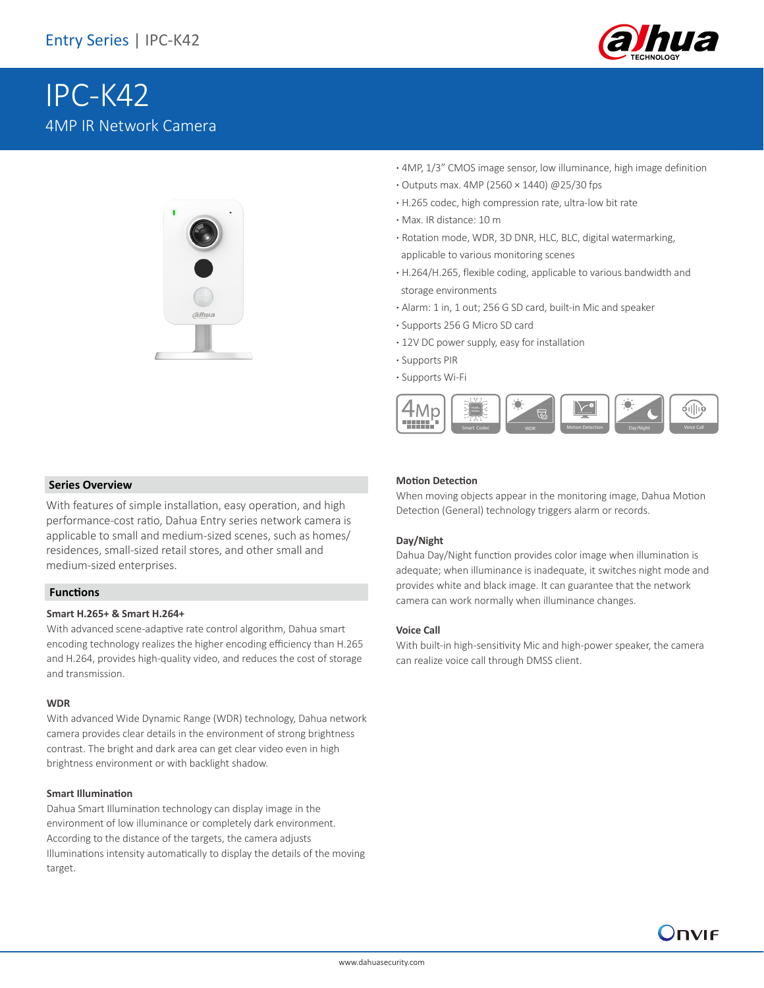

# IPC-K42 4MP IR Network Camera



- **·** 4MP, 1/3" CMOS image sensor, low illuminance, high image definition
- **·** Outputs max. 4MP (2560 × 1440) @25/30 fps
- **·** H.265 codec, high compression rate, ultra-low bit rate
- **·** Max. IR distance: 10 m
- **·** Rotation mode, WDR, 3D DNR, HLC, BLC, digital watermarking, applicable to various monitoring scenes
- **·** H.264/H.265, flexible coding, applicable to various bandwidth and storage environments
- **·** Alarm: 1 in, 1 out; 256 G SD card, built-in Mic and speaker
- **·** Supports 256 G Micro SD card
- **·** 12V DC power supply, easy for installation
- **·** Supports PIR
- **·** Supports Wi-Fi



#### **Series Overview**

With features of simple installation, easy operation, and high performance-cost ratio, Dahua Entry series network camera is applicable to small and medium-sized scenes, such as homes/ residences, small-sized retail stores, and other small and medium-sized enterprises.

#### **Functions**

#### **Smart H.265+ & Smart H.264+**

With advanced scene-adaptive rate control algorithm, Dahua smart encoding technology realizes the higher encoding efficiency than H.265 and H.264, provides high-quality video, and reduces the cost of storage and transmission.

#### **WDR**

With advanced Wide Dynamic Range (WDR) technology, Dahua network camera provides clear details in the environment of strong brightness contrast. The bright and dark area can get clear video even in high brightness environment or with backlight shadow.

#### **Smart Illumination**

Dahua Smart Illumination technology can display image in the environment of low illuminance or completely dark environment. According to the distance of the targets, the camera adjusts Illuminations intensity automatically to display the details of the moving target.

#### **Motion Detection**

When moving objects appear in the monitoring image, Dahua Motion Detection (General) technology triggers alarm or records.

#### **Day/Night**

Dahua Day/Night function provides color image when illumination is adequate; when illuminance is inadequate, it switches night mode and provides white and black image. It can guarantee that the network camera can work normally when illuminance changes.

#### **Voice Call**

With built-in high-sensitivity Mic and high-power speaker, the camera can realize voice call through DMSS client.

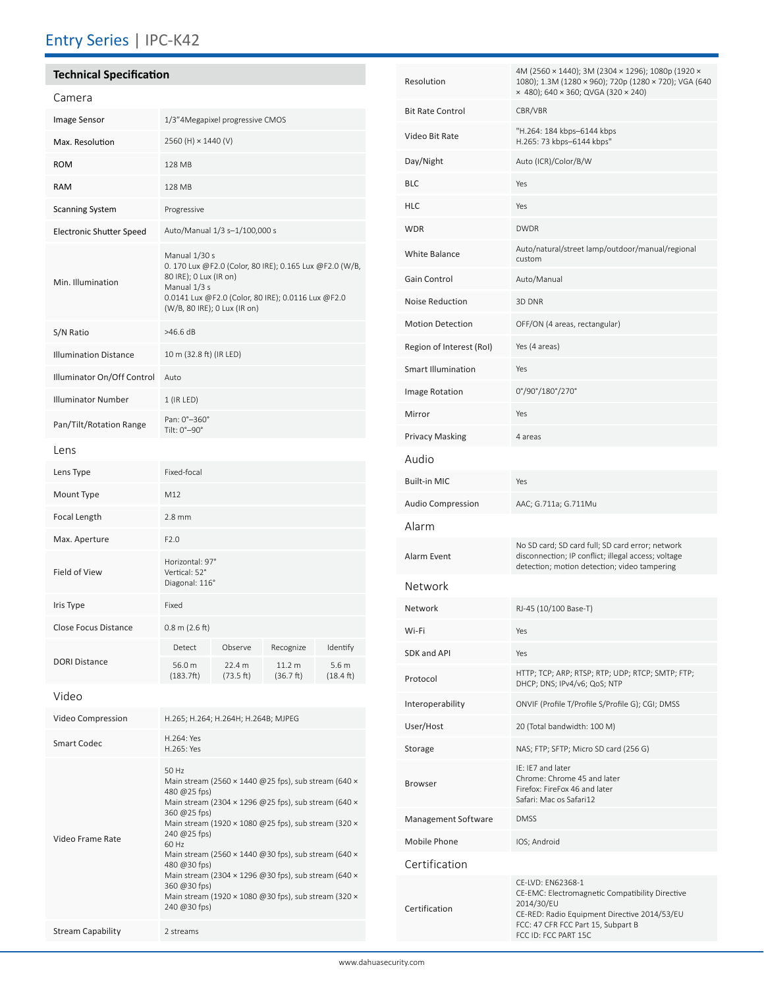### Entry Series | IPC-K42

# **Technical Specification**

| Camera                          |                                                                                                                                                                                                          |                                |                                  |                                          |
|---------------------------------|----------------------------------------------------------------------------------------------------------------------------------------------------------------------------------------------------------|--------------------------------|----------------------------------|------------------------------------------|
| <b>Image Sensor</b>             | 1/3"4Megapixel progressive CMOS                                                                                                                                                                          |                                |                                  |                                          |
| Max. Resolution                 | 2560 (H) × 1440 (V)                                                                                                                                                                                      |                                |                                  |                                          |
| <b>ROM</b>                      | 128 MB                                                                                                                                                                                                   |                                |                                  |                                          |
| <b>RAM</b>                      | 128 MB                                                                                                                                                                                                   |                                |                                  |                                          |
| <b>Scanning System</b>          | Progressive                                                                                                                                                                                              |                                |                                  |                                          |
| <b>Electronic Shutter Speed</b> | Auto/Manual 1/3 s-1/100,000 s                                                                                                                                                                            |                                |                                  |                                          |
| Min. Illumination               | Manual 1/30 s<br>0. 170 Lux @F2.0 (Color, 80 IRE); 0.165 Lux @F2.0 (W/B,<br>80 IRE); 0 Lux (IR on)<br>Manual 1/3 s<br>0.0141 Lux @F2.0 (Color, 80 IRE); 0.0116 Lux @F2.0<br>(W/B, 80 IRE); 0 Lux (IR on) |                                |                                  |                                          |
| S/N Ratio                       | >46.6 dB                                                                                                                                                                                                 |                                |                                  |                                          |
| <b>Illumination Distance</b>    | 10 m (32.8 ft) (IR LED)                                                                                                                                                                                  |                                |                                  |                                          |
| Illuminator On/Off Control      | Auto                                                                                                                                                                                                     |                                |                                  |                                          |
| <b>Illuminator Number</b>       | $1$ (IR LED)                                                                                                                                                                                             |                                |                                  |                                          |
| Pan/Tilt/Rotation Range         | Pan: 0°-360°<br>Tilt: 0°-90°                                                                                                                                                                             |                                |                                  |                                          |
| Lens                            |                                                                                                                                                                                                          |                                |                                  |                                          |
| Lens Type                       | Fixed-focal                                                                                                                                                                                              |                                |                                  |                                          |
| Mount Type                      | M12                                                                                                                                                                                                      |                                |                                  |                                          |
| Focal Length                    | $2.8$ mm                                                                                                                                                                                                 |                                |                                  |                                          |
| Max. Aperture                   | F2.0                                                                                                                                                                                                     |                                |                                  |                                          |
| Field of View                   | Horizontal: 97°<br>Vertical: 52°<br>Diagonal: 116°                                                                                                                                                       |                                |                                  |                                          |
| Iris Type                       | Fixed                                                                                                                                                                                                    |                                |                                  |                                          |
| <b>Close Focus Distance</b>     | $0.8$ m $(2.6$ ft)                                                                                                                                                                                       |                                |                                  |                                          |
| <b>DORI Distance</b>            | Detect<br>56.0 m<br>(183.7ft)                                                                                                                                                                            | Observe<br>22.4 m<br>(73.5 ft) | Recognize<br>11.2 m<br>(36.7 ft) | Identify<br>5.6 m<br>$(18.4 \text{ ft})$ |
| Video                           |                                                                                                                                                                                                          |                                |                                  |                                          |
|                                 |                                                                                                                                                                                                          |                                |                                  |                                          |

| Video Compression        | H.265; H.264; H.264H; H.264B; MJPEG                                                                                                                                                                                                                                                                                                                                                                                                                                                                                                           |
|--------------------------|-----------------------------------------------------------------------------------------------------------------------------------------------------------------------------------------------------------------------------------------------------------------------------------------------------------------------------------------------------------------------------------------------------------------------------------------------------------------------------------------------------------------------------------------------|
| <b>Smart Codec</b>       | H.264: Yes<br>H.265: Yes                                                                                                                                                                                                                                                                                                                                                                                                                                                                                                                      |
| Video Frame Rate         | 50 Hz<br>Main stream (2560 $\times$ 1440 @ 25 fps), sub stream (640 $\times$<br>480 @ $25$ fps)<br>Main stream (2304 $\times$ 1296 @ 25 fps), sub stream (640 $\times$<br>360 @ 25 fps)<br>Main stream (1920 $\times$ 1080 @ 25 fps), sub stream (320 $\times$<br>240 @ 25 fps)<br>60 Hz<br>Main stream (2560 $\times$ 1440 @30 fps), sub stream (640 $\times$<br>480 @30 fps)<br>Main stream (2304 $\times$ 1296 @30 fps), sub stream (640 $\times$<br>360 @ 30 fps)<br>Main stream (1920 x 1080 @30 fps), sub stream (320 x<br>240 @30 fps) |
| <b>Stream Capability</b> | 2 streams                                                                                                                                                                                                                                                                                                                                                                                                                                                                                                                                     |

| Resolution                | 4M (2560 × 1440); 3M (2304 × 1296); 1080p (1920 ×<br>1080); 1.3M (1280 × 960); 720p (1280 × 720); VGA (640<br>x 480); 640 x 360; QVGA (320 x 240)                                                |  |
|---------------------------|--------------------------------------------------------------------------------------------------------------------------------------------------------------------------------------------------|--|
| <b>Bit Rate Control</b>   | CBR/VBR                                                                                                                                                                                          |  |
| Video Bit Rate            | "H.264: 184 kbps-6144 kbps<br>H.265: 73 kbps-6144 kbps"                                                                                                                                          |  |
| Day/Night                 | Auto (ICR)/Color/B/W                                                                                                                                                                             |  |
| <b>BLC</b>                | Yes                                                                                                                                                                                              |  |
| <b>HLC</b>                | Yes                                                                                                                                                                                              |  |
| <b>WDR</b>                | <b>DWDR</b>                                                                                                                                                                                      |  |
| <b>White Balance</b>      | Auto/natural/street lamp/outdoor/manual/regional<br>custom                                                                                                                                       |  |
| Gain Control              | Auto/Manual                                                                                                                                                                                      |  |
| Noise Reduction           | 3D DNR                                                                                                                                                                                           |  |
| <b>Motion Detection</b>   | OFF/ON (4 areas, rectangular)                                                                                                                                                                    |  |
| Region of Interest (RoI)  | Yes (4 areas)                                                                                                                                                                                    |  |
| <b>Smart Illumination</b> | Yes                                                                                                                                                                                              |  |
| Image Rotation            | 0°/90°/180°/270°                                                                                                                                                                                 |  |
| Mirror                    | Yes                                                                                                                                                                                              |  |
| <b>Privacy Masking</b>    | 4 areas                                                                                                                                                                                          |  |
| Audio                     |                                                                                                                                                                                                  |  |
| <b>Built-in MIC</b>       | Yes                                                                                                                                                                                              |  |
| <b>Audio Compression</b>  | AAC; G.711a; G.711Mu                                                                                                                                                                             |  |
| Alarm                     |                                                                                                                                                                                                  |  |
| Alarm Event               | No SD card; SD card full; SD card error; network<br>disconnection; IP conflict; illegal access; voltage<br>detection; motion detection; video tampering                                          |  |
| Network                   |                                                                                                                                                                                                  |  |
| Network                   | RJ-45 (10/100 Base-T)                                                                                                                                                                            |  |
| Wi-Fi                     | Yes                                                                                                                                                                                              |  |
| <b>SDK and API</b>        | Yes                                                                                                                                                                                              |  |
| Protocol                  | HTTP; TCP; ARP; RTSP; RTP; UDP; RTCP; SMTP; FTP;<br>DHCP; DNS; IPv4/v6; QoS; NTP                                                                                                                 |  |
| Interoperability          | ONVIF (Profile T/Profile S/Profile G); CGI; DMSS                                                                                                                                                 |  |
| User/Host                 | 20 (Total bandwidth: 100 M)                                                                                                                                                                      |  |
| Storage                   | NAS; FTP; SFTP; Micro SD card (256 G)                                                                                                                                                            |  |
| <b>Browser</b>            | IE: IE7 and later<br>Chrome: Chrome 45 and later<br>Firefox: FireFox 46 and later<br>Safari: Mac os Safari12                                                                                     |  |
| Management Software       | <b>DMSS</b>                                                                                                                                                                                      |  |
| Mobile Phone              | IOS; Android                                                                                                                                                                                     |  |
| Certification             |                                                                                                                                                                                                  |  |
| Certification             | CE-LVD: EN62368-1<br>CE-EMC: Electromagnetic Compatibility Directive<br>2014/30/EU<br>CE-RED: Radio Equipment Directive 2014/53/EU<br>FCC: 47 CFR FCC Part 15, Subpart B<br>FCC ID: FCC PART 15C |  |